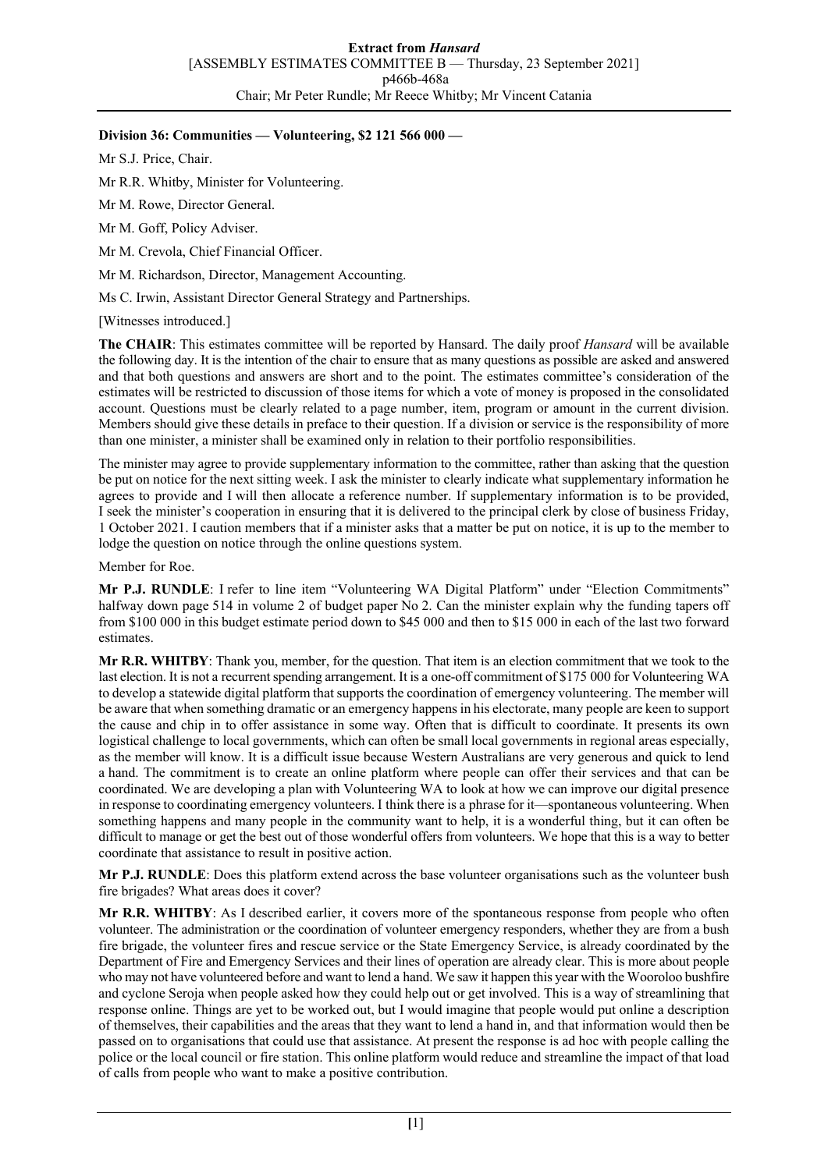## **Division 36: Communities — Volunteering, \$2 121 566 000 —**

Mr S.J. Price, Chair.

Mr R.R. Whitby, Minister for Volunteering.

Mr M. Rowe, Director General.

Mr M. Goff, Policy Adviser.

Mr M. Crevola, Chief Financial Officer.

Mr M. Richardson, Director, Management Accounting.

Ms C. Irwin, Assistant Director General Strategy and Partnerships.

[Witnesses introduced.]

**The CHAIR**: This estimates committee will be reported by Hansard. The daily proof *Hansard* will be available the following day. It is the intention of the chair to ensure that as many questions as possible are asked and answered and that both questions and answers are short and to the point. The estimates committee's consideration of the estimates will be restricted to discussion of those items for which a vote of money is proposed in the consolidated account. Questions must be clearly related to a page number, item, program or amount in the current division. Members should give these details in preface to their question. If a division or service is the responsibility of more than one minister, a minister shall be examined only in relation to their portfolio responsibilities.

The minister may agree to provide supplementary information to the committee, rather than asking that the question be put on notice for the next sitting week. I ask the minister to clearly indicate what supplementary information he agrees to provide and I will then allocate a reference number. If supplementary information is to be provided, I seek the minister's cooperation in ensuring that it is delivered to the principal clerk by close of business Friday, 1 October 2021. I caution members that if a minister asks that a matter be put on notice, it is up to the member to lodge the question on notice through the online questions system.

Member for Roe.

**Mr P.J. RUNDLE**: I refer to line item "Volunteering WA Digital Platform" under "Election Commitments" halfway down page 514 in volume 2 of budget paper No 2. Can the minister explain why the funding tapers off from \$100 000 in this budget estimate period down to \$45 000 and then to \$15 000 in each of the last two forward estimates.

**Mr R.R. WHITBY**: Thank you, member, for the question. That item is an election commitment that we took to the last election. It is not a recurrent spending arrangement. It is a one-off commitment of \$175 000 for Volunteering WA to develop a statewide digital platform that supports the coordination of emergency volunteering. The member will be aware that when something dramatic or an emergency happens in his electorate, many people are keen to support the cause and chip in to offer assistance in some way. Often that is difficult to coordinate. It presents its own logistical challenge to local governments, which can often be small local governments in regional areas especially, as the member will know. It is a difficult issue because Western Australians are very generous and quick to lend a hand. The commitment is to create an online platform where people can offer their services and that can be coordinated. We are developing a plan with Volunteering WA to look at how we can improve our digital presence in response to coordinating emergency volunteers. I think there is a phrase for it—spontaneous volunteering. When something happens and many people in the community want to help, it is a wonderful thing, but it can often be difficult to manage or get the best out of those wonderful offers from volunteers. We hope that this is a way to better coordinate that assistance to result in positive action.

**Mr P.J. RUNDLE**: Does this platform extend across the base volunteer organisations such as the volunteer bush fire brigades? What areas does it cover?

**Mr R.R. WHITBY**: As I described earlier, it covers more of the spontaneous response from people who often volunteer. The administration or the coordination of volunteer emergency responders, whether they are from a bush fire brigade, the volunteer fires and rescue service or the State Emergency Service, is already coordinated by the Department of Fire and Emergency Services and their lines of operation are already clear. This is more about people who may not have volunteered before and want to lend a hand. We saw it happen this year with the Wooroloo bushfire and cyclone Seroja when people asked how they could help out or get involved. This is a way of streamlining that response online. Things are yet to be worked out, but I would imagine that people would put online a description of themselves, their capabilities and the areas that they want to lend a hand in, and that information would then be passed on to organisations that could use that assistance. At present the response is ad hoc with people calling the police or the local council or fire station. This online platform would reduce and streamline the impact of that load of calls from people who want to make a positive contribution.